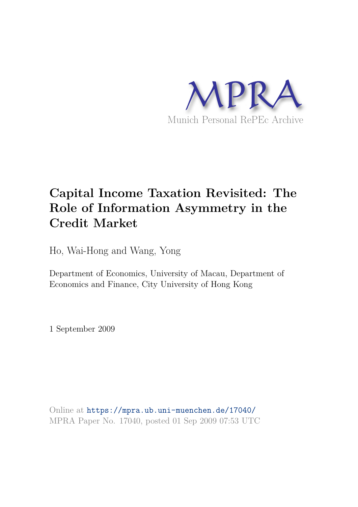

# **Capital Income Taxation Revisited: The Role of Information Asymmetry in the Credit Market**

Ho, Wai-Hong and Wang, Yong

Department of Economics, University of Macau, Department of Economics and Finance, City University of Hong Kong

1 September 2009

Online at https://mpra.ub.uni-muenchen.de/17040/ MPRA Paper No. 17040, posted 01 Sep 2009 07:53 UTC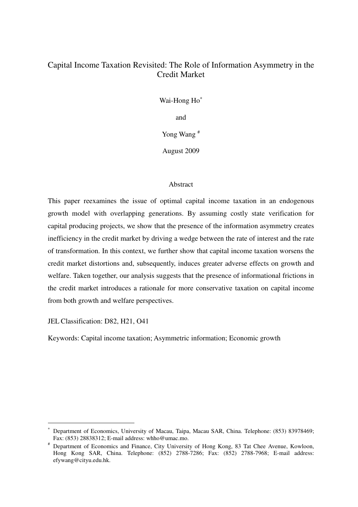# Capital Income Taxation Revisited: The Role of Information Asymmetry in the Credit Market

Wai-Hong Ho<sup>\*</sup>

and

Yong Wang #

August 2009

# Abstract

This paper reexamines the issue of optimal capital income taxation in an endogenous growth model with overlapping generations. By assuming costly state verification for capital producing projects, we show that the presence of the information asymmetry creates inefficiency in the credit market by driving a wedge between the rate of interest and the rate of transformation. In this context, we further show that capital income taxation worsens the credit market distortions and, subsequently, induces greater adverse effects on growth and welfare. Taken together, our analysis suggests that the presence of informational frictions in the credit market introduces a rationale for more conservative taxation on capital income from both growth and welfare perspectives.

JEL Classification: D82, H21, O41

 $\overline{a}$ 

Keywords: Capital income taxation; Asymmetric information; Economic growth

<sup>∗</sup> Department of Economics, University of Macau, Taipa, Macau SAR, China. Telephone: (853) 83978469; Fax: (853) 28838312; E-mail address: whho@umac.mo.

<sup>#</sup> Department of Economics and Finance, City University of Hong Kong, 83 Tat Chee Avenue, Kowloon, Hong Kong SAR, China. Telephone: (852) 2788-7286; Fax: (852) 2788-7968; E-mail address: efywang@cityu.edu.hk.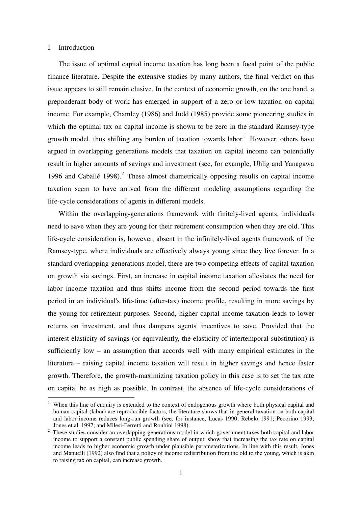### I. Introduction

 $\overline{a}$ 

 The issue of optimal capital income taxation has long been a focal point of the public finance literature. Despite the extensive studies by many authors, the final verdict on this issue appears to still remain elusive. In the context of economic growth, on the one hand, a preponderant body of work has emerged in support of a zero or low taxation on capital income. For example, Chamley (1986) and Judd (1985) provide some pioneering studies in which the optimal tax on capital income is shown to be zero in the standard Ramsey-type growth model, thus shifting any burden of taxation towards labor.<sup>1</sup> However, others have argued in overlapping generations models that taxation on capital income can potentially result in higher amounts of savings and investment (see, for example, Uhlig and Yanagawa 1996 and Caballé  $1998$ ).<sup>2</sup> These almost diametrically opposing results on capital income taxation seem to have arrived from the different modeling assumptions regarding the life-cycle considerations of agents in different models.

 Within the overlapping-generations framework with finitely-lived agents, individuals need to save when they are young for their retirement consumption when they are old. This life-cycle consideration is, however, absent in the infinitely-lived agents framework of the Ramsey-type, where individuals are effectively always young since they live forever. In a standard overlapping-generations model, there are two competing effects of capital taxation on growth via savings. First, an increase in capital income taxation alleviates the need for labor income taxation and thus shifts income from the second period towards the first period in an individual's life-time (after-tax) income profile, resulting in more savings by the young for retirement purposes. Second, higher capital income taxation leads to lower returns on investment, and thus dampens agents' incentives to save. Provided that the interest elasticity of savings (or equivalently, the elasticity of intertemporal substitution) is sufficiently low – an assumption that accords well with many empirical estimates in the literature – raising capital income taxation will result in higher savings and hence faster growth. Therefore, the growth-maximizing taxation policy in this case is to set the tax rate on capital be as high as possible. In contrast, the absence of life-cycle considerations of

<sup>1</sup> When this line of enquiry is extended to the context of endogenous growth where both physical capital and human capital (labor) are reproducible factors, the literature shows that in general taxation on both capital and labor income reduces long-run growth (see, for instance, Lucas 1990; Rebelo 1991; Pecorino 1993; Jones et al. 1997; and Milesi-Ferretti and Roubini 1998).

<sup>&</sup>lt;sup>2</sup> These studies consider an overlapping-generations model in which government taxes both capital and labor income to support a constant public spending share of output, show that increasing the tax rate on capital income leads to higher economic growth under plausible parameterizations. In line with this result, Jones and Manuelli (1992) also find that a policy of income redistribution from the old to the young, which is akin to raising tax on capital, can increase growth.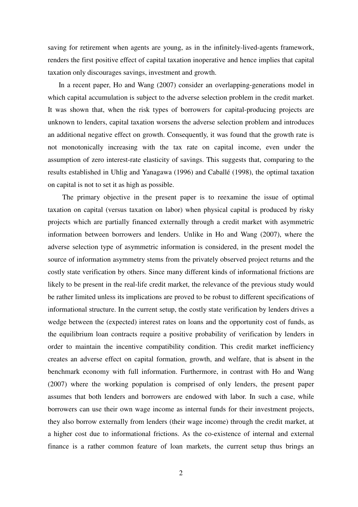saving for retirement when agents are young, as in the infinitely-lived-agents framework, renders the first positive effect of capital taxation inoperative and hence implies that capital taxation only discourages savings, investment and growth.

 In a recent paper, Ho and Wang (2007) consider an overlapping-generations model in which capital accumulation is subject to the adverse selection problem in the credit market. It was shown that, when the risk types of borrowers for capital-producing projects are unknown to lenders, capital taxation worsens the adverse selection problem and introduces an additional negative effect on growth. Consequently, it was found that the growth rate is not monotonically increasing with the tax rate on capital income, even under the assumption of zero interest-rate elasticity of savings. This suggests that, comparing to the results established in Uhlig and Yanagawa (1996) and Caballé (1998), the optimal taxation on capital is not to set it as high as possible.

 The primary objective in the present paper is to reexamine the issue of optimal taxation on capital (versus taxation on labor) when physical capital is produced by risky projects which are partially financed externally through a credit market with asymmetric information between borrowers and lenders. Unlike in Ho and Wang (2007), where the adverse selection type of asymmetric information is considered, in the present model the source of information asymmetry stems from the privately observed project returns and the costly state verification by others. Since many different kinds of informational frictions are likely to be present in the real-life credit market, the relevance of the previous study would be rather limited unless its implications are proved to be robust to different specifications of informational structure. In the current setup, the costly state verification by lenders drives a wedge between the (expected) interest rates on loans and the opportunity cost of funds, as the equilibrium loan contracts require a positive probability of verification by lenders in order to maintain the incentive compatibility condition. This credit market inefficiency creates an adverse effect on capital formation, growth, and welfare, that is absent in the benchmark economy with full information. Furthermore, in contrast with Ho and Wang (2007) where the working population is comprised of only lenders, the present paper assumes that both lenders and borrowers are endowed with labor. In such a case, while borrowers can use their own wage income as internal funds for their investment projects, they also borrow externally from lenders (their wage income) through the credit market, at a higher cost due to informational frictions. As the co-existence of internal and external finance is a rather common feature of loan markets, the current setup thus brings an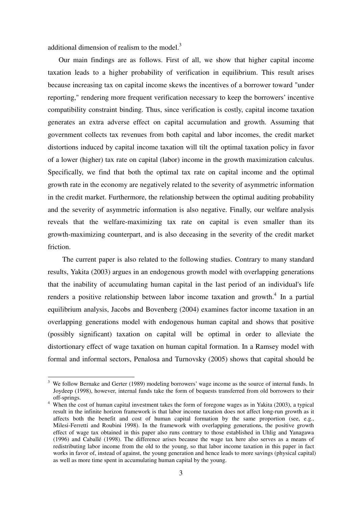additional dimension of realism to the model. $3$ 

 $\overline{a}$ 

 Our main findings are as follows. First of all, we show that higher capital income taxation leads to a higher probability of verification in equilibrium. This result arises because increasing tax on capital income skews the incentives of a borrower toward "under reporting," rendering more frequent verification necessary to keep the borrowers' incentive compatibility constraint binding. Thus, since verification is costly, capital income taxation generates an extra adverse effect on capital accumulation and growth. Assuming that government collects tax revenues from both capital and labor incomes, the credit market distortions induced by capital income taxation will tilt the optimal taxation policy in favor of a lower (higher) tax rate on capital (labor) income in the growth maximization calculus. Specifically, we find that both the optimal tax rate on capital income and the optimal growth rate in the economy are negatively related to the severity of asymmetric information in the credit market. Furthermore, the relationship between the optimal auditing probability and the severity of asymmetric information is also negative. Finally, our welfare analysis reveals that the welfare-maximizing tax rate on capital is even smaller than its growth-maximizing counterpart, and is also deceasing in the severity of the credit market friction.

 The current paper is also related to the following studies. Contrary to many standard results, Yakita (2003) argues in an endogenous growth model with overlapping generations that the inability of accumulating human capital in the last period of an individual's life renders a positive relationship between labor income taxation and growth.<sup>4</sup> In a partial equilibrium analysis, Jacobs and Bovenberg (2004) examines factor income taxation in an overlapping generations model with endogenous human capital and shows that positive (possibly significant) taxation on capital will be optimal in order to alleviate the distortionary effect of wage taxation on human capital formation. In a Ramsey model with formal and informal sectors, Penalosa and Turnovsky (2005) shows that capital should be

<sup>&</sup>lt;sup>3</sup> We follow Bernake and Gerter (1989) modeling borrowers' wage income as the source of internal funds. In Joydeep (1998), however, internal funds take the form of bequests transferred from old borrowers to their off-springs.

<sup>&</sup>lt;sup>4</sup> When the cost of human capital investment takes the form of foregone wages as in Yakita (2003), a typical result in the infinite horizon framework is that labor income taxation does not affect long-run growth as it affects both the benefit and cost of human capital formation by the same proportion (see, e.g., Milesi-Ferretti and Roubini 1998). In the framework with overlapping generations, the positive growth effect of wage tax obtained in this paper also runs contrary to those established in Uhlig and Yanagawa (1996) and Caballé (1998). The difference arises because the wage tax here also serves as a means of redistributing labor income from the old to the young, so that labor income taxation in this paper in fact works in favor of, instead of against, the young generation and hence leads to more savings (physical capital) as well as more time spent in accumulating human capital by the young.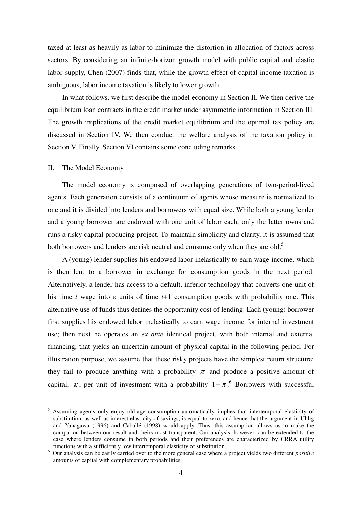taxed at least as heavily as labor to minimize the distortion in allocation of factors across sectors. By considering an infinite-horizon growth model with public capital and elastic labor supply, Chen (2007) finds that, while the growth effect of capital income taxation is ambiguous, labor income taxation is likely to lower growth.

 In what follows, we first describe the model economy in Section II. We then derive the equilibrium loan contracts in the credit market under asymmetric information in Section III. The growth implications of the credit market equilibrium and the optimal tax policy are discussed in Section IV. We then conduct the welfare analysis of the taxation policy in Section V. Finally, Section VI contains some concluding remarks.

# II. The Model Economy

l

 The model economy is composed of overlapping generations of two-period-lived agents. Each generation consists of a continuum of agents whose measure is normalized to one and it is divided into lenders and borrowers with equal size. While both a young lender and a young borrower are endowed with one unit of labor each, only the latter owns and runs a risky capital producing project. To maintain simplicity and clarity, it is assumed that both borrowers and lenders are risk neutral and consume only when they are old.<sup>5</sup>

 A (young) lender supplies his endowed labor inelastically to earn wage income, which is then lent to a borrower in exchange for consumption goods in the next period. Alternatively, a lender has access to a default, inferior technology that converts one unit of his time *t* wage into *ε* units of time *t*+1 consumption goods with probability one. This alternative use of funds thus defines the opportunity cost of lending. Each (young) borrower first supplies his endowed labor inelastically to earn wage income for internal investment use; then next he operates an *ex ante* identical project, with both internal and external financing, that yields an uncertain amount of physical capital in the following period. For illustration purpose, we assume that these risky projects have the simplest return structure: they fail to produce anything with a probability  $\pi$  and produce a positive amount of capital,  $\kappa$ , per unit of investment with a probability  $1 - \pi$ .<sup>6</sup> Borrowers with successful

<sup>&</sup>lt;sup>5</sup> Assuming agents only enjoy old-age consumption automatically implies that intertemporal elasticity of substitution, as well as interest elasticity of savings, is equal to zero, and hence that the argument in Uhlig and Yanagawa (1996) and Caballé (1998) would apply. Thus, this assumption allows us to make the comparion between our result and theirs most transparent. Our analysis, however, can be extended to the case where lenders consume in both periods and their preferences are characterized by CRRA utility functions with a sufficiently low intertemporal elasticity of substitution.

<sup>6</sup> Our analysis can be easily carried over to the more general case where a project yields two different *positive* amounts of capital with complementary probabilities.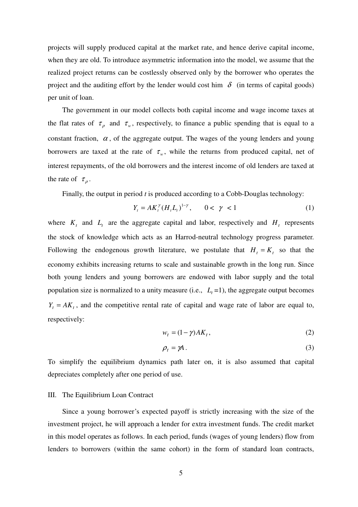projects will supply produced capital at the market rate, and hence derive capital income, when they are old. To introduce asymmetric information into the model, we assume that the realized project returns can be costlessly observed only by the borrower who operates the project and the auditing effort by the lender would cost him  $\delta$  (in terms of capital goods) per unit of loan.

 The government in our model collects both capital income and wage income taxes at the flat rates of  $\tau_{\rho}$  and  $\tau_{w}$ , respectively, to finance a public spending that is equal to a constant fraction,  $\alpha$ , of the aggregate output. The wages of the young lenders and young borrowers are taxed at the rate of  $\tau_w$ , while the returns from produced capital, net of interest repayments, of the old borrowers and the interest income of old lenders are taxed at the rate of  $\tau_{\rho}$ .

Finally, the output in period *t* is produced according to a Cobb-Douglas technology:

$$
Y_t = A K_t^{\gamma} (H_t L_t)^{1-\gamma}, \qquad 0 < \gamma < 1 \tag{1}
$$

where  $K_t$  and  $L_t$  are the aggregate capital and labor, respectively and  $H_t$  represents the stock of knowledge which acts as an Harrod-neutral technology progress parameter. Following the endogenous growth literature, we postulate that  $H_t = K_t$  so that the economy exhibits increasing returns to scale and sustainable growth in the long run. Since both young lenders and young borrowers are endowed with labor supply and the total population size is normalized to a unity measure (i.e.,  $L_t = 1$ ), the aggregate output becomes  $Y_t = AK_t$ , and the competitive rental rate of capital and wage rate of labor are equal to, respectively:

$$
w_t = (1 - \gamma)AK_t,\tag{2}
$$

$$
\rho_t = \gamma A. \tag{3}
$$

To simplify the equilibrium dynamics path later on, it is also assumed that capital depreciates completely after one period of use.

### III. The Equilibrium Loan Contract

Since a young borrower's expected payoff is strictly increasing with the size of the investment project, he will approach a lender for extra investment funds. The credit market in this model operates as follows. In each period, funds (wages of young lenders) flow from lenders to borrowers (within the same cohort) in the form of standard loan contracts,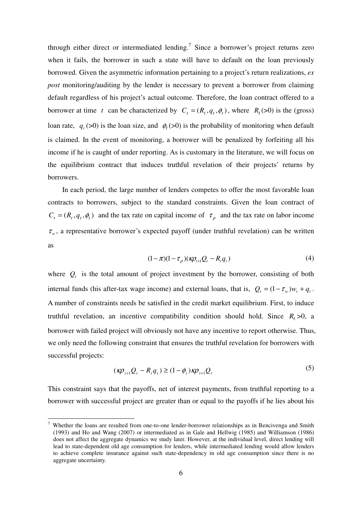through either direct or intermediated lending.<sup>7</sup> Since a borrower's project returns zero when it fails, the borrower in such a state will have to default on the loan previously borrowed. Given the asymmetric information pertaining to a project's return realizations, *ex post* monitoring/auditing by the lender is necessary to prevent a borrower from claiming default regardless of his project's actual outcome. Therefore, the loan contract offered to a borrower at time t can be characterized by  $C_t = (R_t, q_t, \phi_t)$ , where  $R_t$ (>0) is the (gross) loan rate,  $q_t$  (>0) is the loan size, and  $\phi_t$  (>0) is the probability of monitoring when default is claimed. In the event of monitoring, a borrower will be penalized by forfeiting all his income if he is caught of under reporting. As is customary in the literature, we will focus on the equilibrium contract that induces truthful revelation of their projects' returns by borrowers.

In each period, the large number of lenders competes to offer the most favorable loan contracts to borrowers, subject to the standard constraints. Given the loan contract of  $C_t = (R_t, q_t, \phi_t)$  and the tax rate on capital income of  $\tau_\rho$  and the tax rate on labor income  $\tau_w$ , a representative borrower's expected payoff (under truthful revelation) can be written as

$$
(1 - \pi)(1 - \tau_{\rho})(\kappa \rho_{t+1} Q_t - R_t q_t) \tag{4}
$$

where  $Q_t$  is the total amount of project investment by the borrower, consisting of both internal funds (his after-tax wage income) and external loans, that is,  $Q_t = (1 - \tau_w)w_t + q_t$ . A number of constraints needs be satisfied in the credit market equilibrium. First, to induce truthful revelation, an incentive compatibility condition should hold. Since  $R_t > 0$ , a borrower with failed project will obviously not have any incentive to report otherwise. Thus, we only need the following constraint that ensures the truthful revelation for borrowers with successful projects:

$$
(\kappa \rho_{t+1} Q_t - R_t q_t) \ge (1 - \phi_t) \kappa \rho_{t+1} Q_t \tag{5}
$$

This constraint says that the payoffs, net of interest payments, from truthful reporting to a borrower with successful project are greater than or equal to the payoffs if he lies about his

 $\overline{a}$ 

<sup>7</sup> Whether the loans are resulted from one-to-one lender-borrower relationships as in Bencivenga and Smith (1993) and Ho and Wang (2007) or intermediated as in Gale and Hellwig (1985) and Williamson (1986) does not affect the aggregate dynamics we study later. However, at the individual level, direct lending will lead to state-dependent old age consumption for lenders, while intermediated lending would allow lenders to achieve complete insurance against such state-dependency in old age consumption since there is no aggregate uncertainty.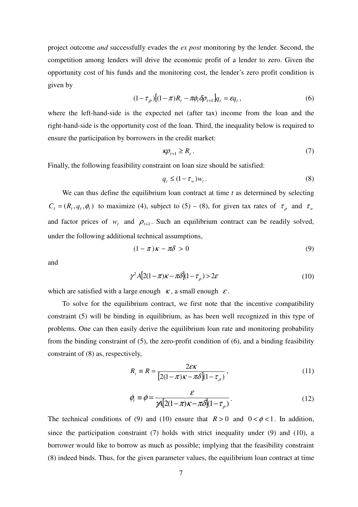project outcome *and* successfully evades the *ex post* monitoring by the lender. Second, the competition among lenders will drive the economic profit of a lender to zero. Given the opportunity cost of his funds and the monitoring cost, the lender's zero profit condition is given by

$$
(1 - \tau_{\rho})[(1 - \pi)R_t - \pi \phi_t \delta \rho_{t+1}]q_t = \varepsilon q_t, \qquad (6)
$$

where the left-hand-side is the expected net (after tax) income from the loan and the right-hand-side is the opportunity cost of the loan. Third, the inequality below is required to ensure the participation by borrowers in the credit market:

$$
\kappa \rho_{t+1} \ge R_t \,. \tag{7}
$$

Finally, the following feasibility constraint on loan size should be satisfied:

$$
q_t \le (1 - \tau_w) w_t. \tag{8}
$$

We can thus define the equilibrium loan contract at time *t* as determined by selecting  $C_t = (R_t, q_t, \phi_t)$  to maximize (4), subject to (5) – (8), for given tax rates of  $\tau_p$  and  $\tau_w$ and factor prices of  $w_t$  and  $\rho_{t+1}$ . Such an equilibrium contract can be readily solved, under the following additional technical assumptions,

$$
(1 - \pi)\kappa - \pi\delta > 0\tag{9}
$$

and

$$
\gamma^2 A[2(1-\pi)\kappa - \pi \delta](1-\tau_\rho) > 2\varepsilon \tag{10}
$$

which are satisfied with a large enough  $\kappa$ , a small enough  $\varepsilon$ .

 To solve for the equilibrium contract, we first note that the incentive compatibility constraint (5) will be binding in equilibrium, as has been well recognized in this type of problems. One can then easily derive the equilibrium loan rate and monitoring probability from the binding constraint of (5), the zero-profit condition of (6), and a binding feasibility constraint of (8) as, respectively,

$$
R_t = R = \frac{2\varepsilon\kappa}{\left[2(1-\pi)\kappa - \pi\delta\right](1-\tau_\rho)},\tag{11}
$$

$$
\phi_t \equiv \phi = \frac{\varepsilon}{\mathcal{A} \left[ 2(1 - \pi)\kappa - \pi \delta \right] (1 - \tau_\rho)}.
$$
\n(12)

The technical conditions of (9) and (10) ensure that  $R > 0$  and  $0 < \phi < 1$ . In addition, since the participation constraint (7) holds with strict inequality under (9) and (10), a borrower would like to borrow as much as possible; implying that the feasibility constraint (8) indeed binds. Thus, for the given parameter values, the equilibrium loan contract at time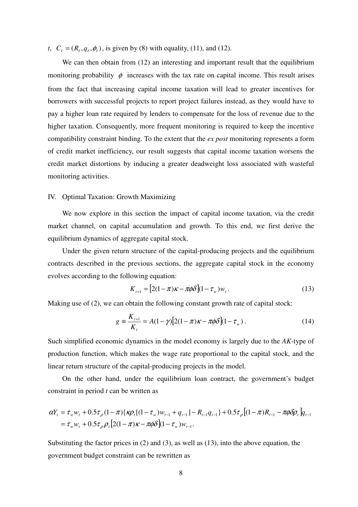*t*,  $C_t = (R_t, q_t, \phi_t)$ , is given by (8) with equality, (11), and (12).

We can then obtain from (12) an interesting and important result that the equilibrium monitoring probability  $\phi$  increases with the tax rate on capital income. This result arises from the fact that increasing capital income taxation will lead to greater incentives for borrowers with successful projects to report project failures instead, as they would have to pay a higher loan rate required by lenders to compensate for the loss of revenue due to the higher taxation. Consequently, more frequent monitoring is required to keep the incentive compatibility constraint binding. To the extent that the *ex post* monitoring represents a form of credit market inefficiency, our result suggests that capital income taxation worsens the credit market distortions by inducing a greater deadweight loss associated with wasteful monitoring activities.

# IV. Optimal Taxation: Growth Maximizing

 We now explore in this section the impact of capital income taxation, via the credit market channel, on capital accumulation and growth. To this end, we first derive the equilibrium dynamics of aggregate capital stock.

 Under the given return structure of the capital-producing projects and the equilibrium contracts described in the previous sections, the aggregate capital stock in the economy evolves according to the following equation:

$$
K_{t+1} = [2(1-\pi)\kappa - \pi\phi\delta](1-\tau_w)w_t.
$$
 (13)

Making use of (2), we can obtain the following constant growth rate of capital stock:

$$
g = \frac{K_{t+1}}{K_t} = A(1 - \gamma)[2(1 - \pi)\kappa - \pi\phi\delta](1 - \tau_w). \tag{14}
$$

Such simplified economic dynamics in the model economy is largely due to the *AK*-type of production function, which makes the wage rate proportional to the capital stock, and the linear return structure of the capital-producing projects in the model.

 On the other hand, under the equilibrium loan contract, the government's budget constraint in period *t* can be written as

$$
\alpha Y_t = \tau_w w_t + 0.5\tau_\rho (1-\pi) \{\kappa \rho_t [(1-\tau_w)w_{t-1} + q_{t-1}] - R_{t-1}q_{t-1}\} + 0.5\tau_\rho [(1-\pi)R_{t-1} - \pi \phi \delta \rho_t] q_{t-1}
$$
  
=  $\tau_w w_t + 0.5\tau_\rho \rho_t [2(1-\pi)\kappa - \pi \phi \delta](1-\tau_w)w_{t-1}.$ 

Substituting the factor prices in (2) and (3), as well as (13), into the above equation, the government budget constraint can be rewritten as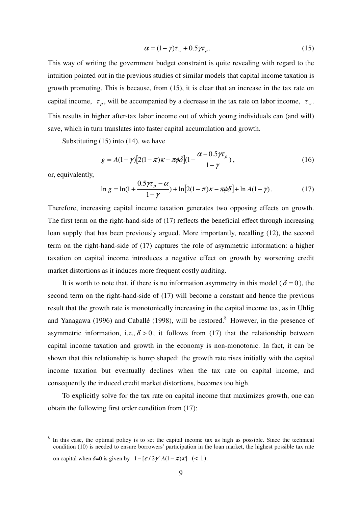$$
\alpha = (1 - \gamma)\tau_w + 0.5\gamma\tau_\rho. \tag{15}
$$

This way of writing the government budget constraint is quite revealing with regard to the intuition pointed out in the previous studies of similar models that capital income taxation is growth promoting. This is because, from (15), it is clear that an increase in the tax rate on capital income,  $\tau_{\rho}$ , will be accompanied by a decrease in the tax rate on labor income,  $\tau_{w}$ . This results in higher after-tax labor income out of which young individuals can (and will) save, which in turn translates into faster capital accumulation and growth.

Substituting  $(15)$  into  $(14)$ , we have

$$
g = A(1 - \gamma)[2(1 - \pi)\kappa - \pi\phi\delta](1 - \frac{\alpha - 0.5\gamma\tau_\rho}{1 - \gamma}),
$$
\n(16)

or, equivalently,

 $\overline{a}$ 

$$
\ln g = \ln(1 + \frac{0.5\gamma\tau_\rho - \alpha}{1 - \gamma}) + \ln[2(1 - \pi)\kappa - \pi\phi\delta] + \ln A(1 - \gamma). \tag{17}
$$

Therefore, increasing capital income taxation generates two opposing effects on growth. The first term on the right-hand-side of (17) reflects the beneficial effect through increasing loan supply that has been previously argued. More importantly, recalling (12), the second term on the right-hand-side of (17) captures the role of asymmetric information: a higher taxation on capital income introduces a negative effect on growth by worsening credit market distortions as it induces more frequent costly auditing.

It is worth to note that, if there is no information asymmetry in this model ( $\delta = 0$ ), the second term on the right-hand-side of (17) will become a constant and hence the previous result that the growth rate is monotonically increasing in the capital income tax, as in Uhlig and Yanagawa (1996) and Caballé (1998), will be restored.<sup>8</sup> However, in the presence of asymmetric information, i.e.,  $\delta > 0$ , it follows from (17) that the relationship between capital income taxation and growth in the economy is non-monotonic. In fact, it can be shown that this relationship is hump shaped: the growth rate rises initially with the capital income taxation but eventually declines when the tax rate on capital income, and consequently the induced credit market distortions, becomes too high.

 To explicitly solve for the tax rate on capital income that maximizes growth, one can obtain the following first order condition from (17):

<sup>8</sup> In this case, the optimal policy is to set the capital income tax as high as possible. Since the technical condition (10) is needed to ensure borrowers' participation in the loan market, the highest possible tax rate

on capital when  $\delta = 0$  is given by  $1 - [\varepsilon / 2\gamma^2 A(1 - \pi) \kappa]$  (< 1).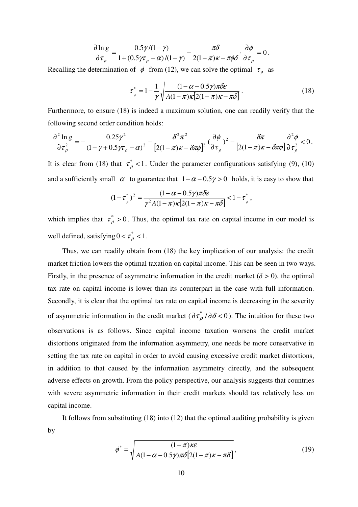$$
\frac{\partial \ln g}{\partial \tau_{\rho}} = \frac{0.5\gamma/(1-\gamma)}{1+(0.5\gamma\tau_{\rho}-\alpha)/(1-\gamma)} - \frac{\pi\delta}{2(1-\pi)\kappa - \pi\phi\delta} \cdot \frac{\partial \phi}{\partial \tau_{\rho}} = 0
$$

Recalling the determination of  $\phi$  from (12), we can solve the optimal  $\tau$  as

$$
\tau_{\rho}^* = 1 - \frac{1}{\gamma} \sqrt{\frac{(1 - \alpha - 0.5\gamma)\pi \delta \varepsilon}{A(1 - \pi)\kappa [2(1 - \pi)\kappa - \pi \delta]}}.
$$
\n(18)

.

Furthermore, to ensure (18) is indeed a maximum solution, one can readily verify that the following second order condition holds:

$$
\frac{\partial^2 \ln g}{\partial \tau_\rho^2} = -\frac{0.25\gamma^2}{(1-\gamma+0.5\gamma\tau_\rho-\alpha)^2} - \frac{\delta^2 \pi^2}{[2(1-\pi)\kappa-\delta\pi\phi]^2} (\frac{\partial \phi}{\partial \tau_\rho})^2 - \frac{\delta\pi}{[2(1-\pi)\kappa-\delta\pi\phi]} \frac{\partial^2 \phi}{\partial \tau_\rho^2} < 0.
$$

It is clear from (18) that  $\tau_{\rho}^*$  < 1. Under the parameter configurations satisfying (9), (10) and a sufficiently small  $\alpha$  to guarantee that  $1 - \alpha - 0.5\gamma > 0$  holds, it is easy to show that

$$
(1 - \tau_{\rho}^{*})^{2} = \frac{(1 - \alpha - 0.5\gamma)\pi\delta\varepsilon}{\gamma^{2}A(1 - \pi)\kappa[2(1 - \pi)\kappa - \pi\delta]} < 1 - \tau_{\rho}^{*},
$$

which implies that  $\tau_{\rho}^* > 0$ . Thus, the optimal tax rate on capital income in our model is well defined, satisfying  $0 < \tau^*_{\rho} < 1$ .

 Thus, we can readily obtain from (18) the key implication of our analysis: the credit market friction lowers the optimal taxation on capital income. This can be seen in two ways. Firstly, in the presence of asymmetric information in the credit market ( $\delta > 0$ ), the optimal tax rate on capital income is lower than its counterpart in the case with full information. Secondly, it is clear that the optimal tax rate on capital income is decreasing in the severity of asymmetric information in the credit market  $(\partial \tau_{\rho}^* / \partial \delta < 0)$ . The intuition for these two observations is as follows. Since capital income taxation worsens the credit market distortions originated from the information asymmetry, one needs be more conservative in setting the tax rate on capital in order to avoid causing excessive credit market distortions, in addition to that caused by the information asymmetry directly, and the subsequent adverse effects on growth. From the policy perspective, our analysis suggests that countries with severe asymmetric information in their credit markets should tax relatively less on capital income.

It follows from substituting (18) into (12) that the optimal auditing probability is given by

$$
\phi^* = \sqrt{\frac{(1-\pi)\kappa\varepsilon}{A(1-\alpha-0.5\gamma)\pi\delta[2(1-\pi)\kappa-\pi\delta]}}\,,\tag{19}
$$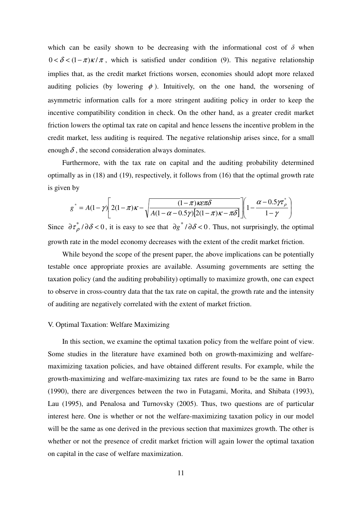which can be easily shown to be decreasing with the informational cost of  $\delta$  when  $0 < \delta < (1 - \pi)\kappa/\pi$ , which is satisfied under condition (9). This negative relationship implies that, as the credit market frictions worsen, economies should adopt more relaxed auditing policies (by lowering  $\phi$ ). Intuitively, on the one hand, the worsening of asymmetric information calls for a more stringent auditing policy in order to keep the incentive compatibility condition in check. On the other hand, as a greater credit market friction lowers the optimal tax rate on capital and hence lessens the incentive problem in the credit market, less auditing is required. The negative relationship arises since, for a small enough  $\delta$ , the second consideration always dominates.

Furthermore, with the tax rate on capital and the auditing probability determined optimally as in (18) and (19), respectively, it follows from (16) that the optimal growth rate is given by

$$
g^* = A(1-\gamma) \left[ 2(1-\pi)\kappa - \sqrt{\frac{(1-\pi)\kappa\varepsilon\pi\delta}{A(1-\alpha-0.5\gamma)[2(1-\pi)\kappa-\pi\delta]}} \right] \left[ 1 - \frac{\alpha-0.5\gamma\tau_{\rho}^*}{1-\gamma} \right]
$$

Since  $\frac{\partial \tau^*}{\partial \delta} < 0$ , it is easy to see that  $\frac{\partial g^*}{\partial \delta} < 0$ . Thus, not surprisingly, the optimal growth rate in the model economy decreases with the extent of the credit market friction.

While beyond the scope of the present paper, the above implications can be potentially testable once appropriate proxies are available. Assuming governments are setting the taxation policy (and the auditing probability) optimally to maximize growth, one can expect to observe in cross-country data that the tax rate on capital, the growth rate and the intensity of auditing are negatively correlated with the extent of market friction.

#### V. Optimal Taxation: Welfare Maximizing

 In this section, we examine the optimal taxation policy from the welfare point of view. Some studies in the literature have examined both on growth-maximizing and welfaremaximizing taxation policies, and have obtained different results. For example, while the growth-maximizing and welfare-maximizing tax rates are found to be the same in Barro (1990), there are divergences between the two in Futagami, Morita, and Shibata (1993), Lau (1995), and Penalosa and Turnovsky (2005). Thus, two questions are of particular interest here. One is whether or not the welfare-maximizing taxation policy in our model will be the same as one derived in the previous section that maximizes growth. The other is whether or not the presence of credit market friction will again lower the optimal taxation on capital in the case of welfare maximization.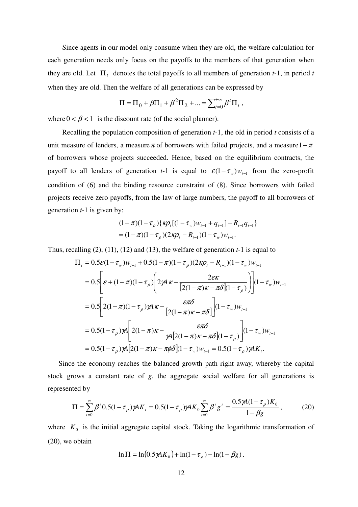Since agents in our model only consume when they are old, the welfare calculation for each generation needs only focus on the payoffs to the members of that generation when they are old. Let  $\Pi_t$  denotes the total payoffs to all members of generation *t*-1, in period *t* when they are old. Then the welfare of all generations can be expressed by

$$
\Pi = \Pi_0 + \beta \Pi_1 + \beta^2 \Pi_2 + ... = \sum_{t=0}^{+\infty} \beta^t \Pi_t ,
$$

where  $0 < \beta < 1$  is the discount rate (of the social planner).

Recalling the population composition of generation *t*-1, the old in period *t* consists of a unit measure of lenders, a measure  $\pi$  of borrowers with failed projects, and a measure  $1 - \pi$ of borrowers whose projects succeeded. Hence, based on the equilibrium contracts, the payoff to all lenders of generation *t*-1 is equal to  $\varepsilon(1 - \tau_w)w_{t-1}$  from the zero-profit condition of (6) and the binding resource constraint of (8). Since borrowers with failed projects receive zero payoffs, from the law of large numbers, the payoff to all borrowers of generation *t*-1 is given by:

$$
(1 - \pi)(1 - \tau_{\rho})\{\kappa \rho_t[(1 - \tau_w)w_{t-1} + q_{t-1}] - R_{t-1}q_{t-1}\}\
$$
  
=  $(1 - \pi)(1 - \tau_{\rho})(2\kappa \rho_t - R_{t-1})(1 - \tau_w)w_{t-1}.$ 

Thus, recalling (2), (11), (12) and (13), the welfare of generation *t*-1 is equal to

$$
\Pi_{t} = 0.5\varepsilon(1-\tau_{w})w_{t-1} + 0.5(1-\pi)(1-\tau_{\rho})(2K\rho_{t} - R_{t-1})(1-\tau_{w})w_{t-1}
$$
\n
$$
= 0.5\left[\varepsilon + (1-\pi)(1-\tau_{\rho})\left(2K\rho_{t} - \frac{2\varepsilon K}{[2(1-\pi)\kappa - \pi\delta](1-\tau_{\rho})}\right)\right](1-\tau_{w})w_{t-1}
$$
\n
$$
= 0.5\left[2(1-\pi)(1-\tau_{\rho})K\rho_{t} - \frac{\varepsilon\pi\delta}{[2(1-\pi)\kappa - \pi\delta]}\right](1-\tau_{w})w_{t-1}
$$
\n
$$
= 0.5(1-\tau_{\rho})K\left[2(1-\pi)\kappa - \frac{\varepsilon\pi\delta}{\gamma A[2(1-\pi)\kappa - \pi\delta](1-\tau_{\rho})}\right](1-\tau_{w})w_{t-1}
$$
\n
$$
= 0.5(1-\tau_{\rho})K[2(1-\pi)\kappa - \pi\phi\delta](1-\tau_{w})w_{t-1} = 0.5(1-\tau_{\rho})K\rho_{t}.
$$

Since the economy reaches the balanced growth path right away, whereby the capital stock grows a constant rate of *g*, the aggregate social welfare for all generations is represented by

$$
\Pi = \sum_{t=0}^{\infty} \beta^t \, 0.5 (1 - \tau_{\rho}) \, \gamma A K_t = 0.5 (1 - \tau_{\rho}) \, \gamma A K_0 \sum_{t=0}^{\infty} \beta^t \, g^t = \frac{0.5 \, \gamma A (1 - \tau_{\rho}) K_0}{1 - \beta g} \,, \tag{20}
$$

where  $K_0$  is the initial aggregate capital stock. Taking the logarithmic transformation of (20), we obtain

$$
\ln \Pi = \ln(0.5 \, \gamma A K_0) + \ln(1 - \tau_\rho) - \ln(1 - \beta g).
$$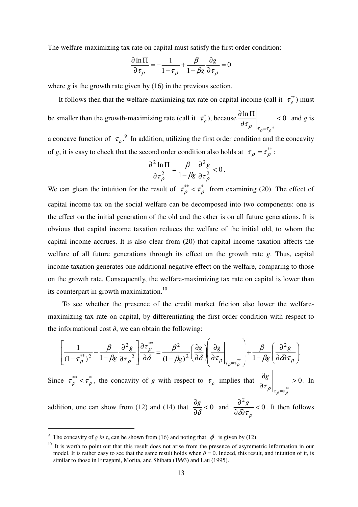The welfare-maximizing tax rate on capital must satisfy the first order condition:

$$
\frac{\partial \ln \Pi}{\partial \tau_{\rho}} = -\frac{1}{1 - \tau_{\rho}} + \frac{\beta}{1 - \beta g} \frac{\partial g}{\partial \tau_{\rho}} = 0
$$

where *g* is the growth rate given by (16) in the previous section.

It follows then that the welfare-maximizing tax rate on capital income (call it  $\tau_p^*$ ) must be smaller than the growth-maximizing rate (call it  $\tau_p^*$ ), because  $\frac{\partial \ln \Pi}{\partial \tau}$  < 0 \*  $\lt$ ∂  $\partial \ln \Pi$  $\left. \frac{\pi r}{\tau_{\rho}} \right|_{\tau_{\rho} = \tau_{\rho}^{*}} < 0$  and *g* is a concave function of  $\tau_{\rho}$ <sup>9</sup>. In addition, utilizing the first order condition and the concavity

of *g*, it is easy to check that the second order condition also holds at  $\tau_{\rho} = \tau_{\rho}^{**}$ :

$$
\frac{\partial^2 \ln \Pi}{\partial \tau_{\rho}^2} = \frac{\beta}{1 - \beta g} \frac{\partial^2 g}{\partial \tau_{\rho}^2} < 0.
$$

We can glean the intuition for the result of  $\tau_{\rho}^{**} < \tau_{\rho}^{*}$  from examining (20). The effect of capital income tax on the social welfare can be decomposed into two components: one is the effect on the initial generation of the old and the other is on all future generations. It is obvious that capital income taxation reduces the welfare of the initial old, to whom the capital income accrues. It is also clear from (20) that capital income taxation affects the welfare of all future generations through its effect on the growth rate *g*. Thus, capital income taxation generates one additional negative effect on the welfare, comparing to those on the growth rate. Consequently, the welfare-maximizing tax rate on capital is lower than its counterpart in growth maximization.<sup>10</sup>

 To see whether the presence of the credit market friction also lower the welfaremaximizing tax rate on capital, by differentiating the first order condition with respect to the informational cost  $\delta$ , we can obtain the following:

$$
\left[\frac{1}{\left(1-\tau_{\rho}^{**}\right)^2} - \frac{\beta}{1-\beta g} \frac{\partial^2 g}{\partial \tau_{\rho}^2}\right] \frac{\partial \tau_{\rho}^{**}}{\partial \delta} = \frac{\beta^2}{\left(1-\beta g\right)^2} \left(\frac{\partial g}{\partial \delta}\right) \left(\frac{\partial g}{\partial \tau_{\rho}}\right)_{\tau_{\rho}=\tau_{\rho}^{**}} + \frac{\beta}{1-\beta g} \left(\frac{\partial^2 g}{\partial \delta \tau_{\rho}}\right).
$$

Since  $\tau_{\rho}^{**} < \tau_{\rho}^{*}$ , the concavity of *g* with respect to  $\tau_{\rho}$  implies that  $\frac{\partial g}{\partial \tau}$  > 0 \*\* > ∂ ∂  $\left. \frac{\tau_\rho}{\tau_\rho=\tau_\rho^*} \right|$  $\frac{g}{g}$  > 0. In

addition, one can show from (12) and (14) that  $\frac{8}{28} < 0$ ∂ ∂ δ  $\frac{g}{g}$  < 0 and  $\frac{\partial^2 g}{\partial g}$  < 0 2  $\lt$  $\partial \delta\!\partial$ ∂  $\delta\!\!\delta\tau_\rho$  $\frac{g}{g}$  < 0. It then follows

 $\overline{a}$ 

<sup>&</sup>lt;sup>9</sup> The concavity of *g in*  $\tau_\rho$  can be shown from (16) and noting that  $\phi$  is given by (12).

 $10$  It is worth to point out that this result does not arise from the presence of asymmetric information in our model. It is rather easy to see that the same result holds when  $\delta = 0$ . Indeed, this result, and intuition of it, is similar to those in Futagami, Morita, and Shibata (1993) and Lau (1995).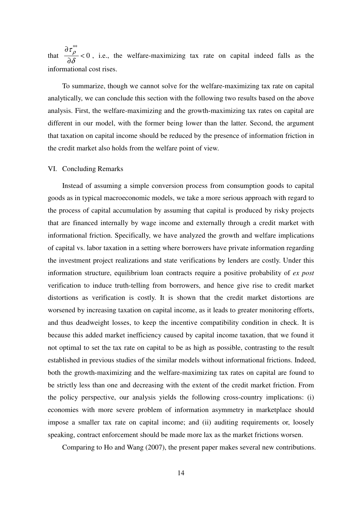that  $\frac{p}{\sqrt{2}} < 0$ \*\*  $\prec$ ∂ ∂ δ  $\frac{\tau_{\rho}}{g}$  < 0, i.e., the welfare-maximizing tax rate on capital indeed falls as the informational cost rises.

To summarize, though we cannot solve for the welfare-maximizing tax rate on capital analytically, we can conclude this section with the following two results based on the above analysis. First, the welfare-maximizing and the growth-maximizing tax rates on capital are different in our model, with the former being lower than the latter. Second, the argument that taxation on capital income should be reduced by the presence of information friction in the credit market also holds from the welfare point of view.

#### VI. Concluding Remarks

Instead of assuming a simple conversion process from consumption goods to capital goods as in typical macroeconomic models, we take a more serious approach with regard to the process of capital accumulation by assuming that capital is produced by risky projects that are financed internally by wage income and externally through a credit market with informational friction. Specifically, we have analyzed the growth and welfare implications of capital vs. labor taxation in a setting where borrowers have private information regarding the investment project realizations and state verifications by lenders are costly. Under this information structure, equilibrium loan contracts require a positive probability of *ex post* verification to induce truth-telling from borrowers, and hence give rise to credit market distortions as verification is costly. It is shown that the credit market distortions are worsened by increasing taxation on capital income, as it leads to greater monitoring efforts, and thus deadweight losses, to keep the incentive compatibility condition in check. It is because this added market inefficiency caused by capital income taxation, that we found it not optimal to set the tax rate on capital to be as high as possible, contrasting to the result established in previous studies of the similar models without informational frictions. Indeed, both the growth-maximizing and the welfare-maximizing tax rates on capital are found to be strictly less than one and decreasing with the extent of the credit market friction. From the policy perspective, our analysis yields the following cross-country implications: (i) economies with more severe problem of information asymmetry in marketplace should impose a smaller tax rate on capital income; and (ii) auditing requirements or, loosely speaking, contract enforcement should be made more lax as the market frictions worsen.

Comparing to Ho and Wang (2007), the present paper makes several new contributions.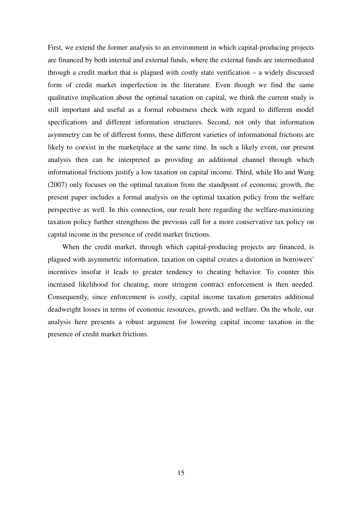First, we extend the former analysis to an environment in which capital-producing projects are financed by both internal and external funds, where the external funds are intermediated through a credit market that is plagued with costly state verification – a widely discussed form of credit market imperfection in the literature. Even though we find the same qualitative implication about the optimal taxation on capital, we think the current study is still important and useful as a formal robustness check with regard to different model specifications and different information structures. Second, not only that information asymmetry can be of different forms, these different varieties of informational frictions are likely to coexist in the marketplace at the same time. In such a likely event, our present analysis then can be interpreted as providing an additional channel through which informational frictions justify a low taxation on capital income. Third, while Ho and Wang (2007) only focuses on the optimal taxation from the standpoint of economic growth, the present paper includes a formal analysis on the optimal taxation policy from the welfare perspective as well. In this connection, our result here regarding the welfare-maximizing taxation policy further strengthens the previous call for a more conservative tax policy on capital income in the presence of credit market frictions.

When the credit market, through which capital-producing projects are financed, is plagued with asymmetric information, taxation on capital creates a distortion in borrowers' incentives insofar it leads to greater tendency to cheating behavior. To counter this increased likelihood for cheating, more stringent contract enforcement is then needed. Consequently, since enforcement is costly, capital income taxation generates additional deadweight losses in terms of economic resources, growth, and welfare. On the whole, our analysis here presents a robust argument for lowering capital income taxation in the presence of credit market frictions.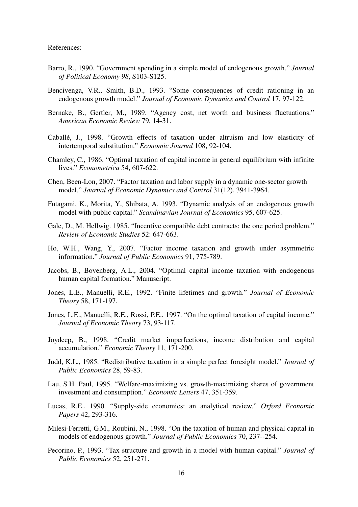References:

- Barro, R., 1990. "Government spending in a simple model of endogenous growth." *Journal of Political Economy 98*, S103-S125.
- Bencivenga, V.R., Smith, B.D., 1993. "Some consequences of credit rationing in an endogenous growth model." *Journal of Economic Dynamics and Control* 17, 97-122.
- Bernake, B., Gertler, M., 1989. "Agency cost, net worth and business fluctuations." *American Economic Review* 79, 14-31.
- Caballé, J., 1998. "Growth effects of taxation under altruism and low elasticity of intertemporal substitution." *Economic Journal* 108, 92-104.
- Chamley, C., 1986. "Optimal taxation of capital income in general equilibrium with infinite lives." *Econometrica* 54, 607-622.
- Chen, Been-Lon, 2007. "Factor taxation and labor supply in a dynamic one-sector growth model." *Journal of Economic Dynamics and Control* 31(12), 3941-3964.
- Futagami, K., Morita, Y., Shibata, A. 1993. "Dynamic analysis of an endogenous growth model with public capital." *Scandinavian Journal of Economics* 95, 607-625.
- Gale, D., M. Hellwig. 1985. "Incentive compatible debt contracts: the one period problem." *Review of Economic Studies* 52: 647-663.
- Ho, W.H., Wang, Y., 2007. "Factor income taxation and growth under asymmetric information." *Journal of Public Economics* 91, 775-789.
- Jacobs, B., Bovenberg, A.L., 2004. "Optimal capital income taxation with endogenous human capital formation." Manuscript.
- Jones, L.E., Manuelli, R.E., 1992. "Finite lifetimes and growth." *Journal of Economic Theory* 58, 171-197.
- Jones, L.E., Manuelli, R.E., Rossi, P.E., 1997. "On the optimal taxation of capital income." *Journal of Economic Theory* 73, 93-117.
- Joydeep, B., 1998. "Credit market imperfections, income distribution and capital accumulation." *Economic Theory* 11, 171-200.
- Judd, K.L., 1985. "Redistributive taxation in a simple perfect foresight model." *Journal of Public Economics* 28, 59-83.
- Lau, S.H. Paul, 1995. "Welfare-maximizing vs. growth-maximizing shares of government investment and consumption." *Economic Letters* 47, 351-359.
- Lucas, R.E., 1990. "Supply-side economics: an analytical review." *Oxford Economic Papers* 42, 293-316.
- Milesi-Ferretti, G.M., Roubini, N., 1998. "On the taxation of human and physical capital in models of endogenous growth." *Journal of Public Economics* 70, 237--254.
- Pecorino, P., 1993. "Tax structure and growth in a model with human capital." *Journal of Public Economics* 52, 251-271.